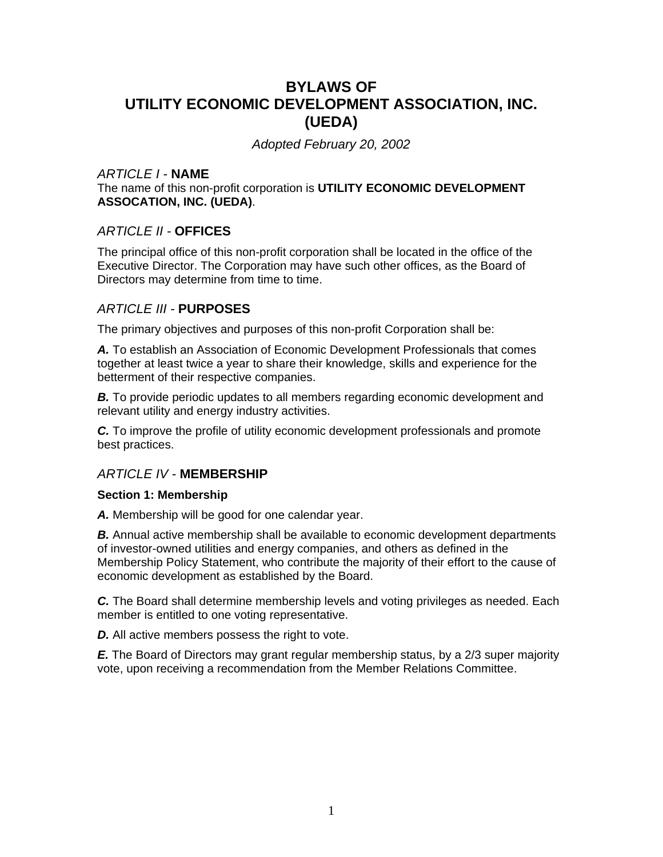# **BYLAWS OF UTILITY ECONOMIC DEVELOPMENT ASSOCIATION, INC. (UEDA)**

*Adopted February 20, 2002* 

## *ARTICLE I -* **NAME**

The name of this non-profit corporation is **UTILITY ECONOMIC DEVELOPMENT ASSOCATION, INC. (UEDA)**.

## *ARTICLE II -* **OFFICES**

The principal office of this non-profit corporation shall be located in the office of the Executive Director. The Corporation may have such other offices, as the Board of Directors may determine from time to time.

## *ARTICLE III -* **PURPOSES**

The primary objectives and purposes of this non-profit Corporation shall be:

*A.* To establish an Association of Economic Development Professionals that comes together at least twice a year to share their knowledge, skills and experience for the betterment of their respective companies.

**B.** To provide periodic updates to all members regarding economic development and relevant utility and energy industry activities.

*C.* To improve the profile of utility economic development professionals and promote best practices.

## *ARTICLE IV -* **MEMBERSHIP**

#### **Section 1: Membership**

*A.* Membership will be good for one calendar year.

**B.** Annual active membership shall be available to economic development departments of investor-owned utilities and energy companies, and others as defined in the Membership Policy Statement, who contribute the majority of their effort to the cause of economic development as established by the Board.

*C.* The Board shall determine membership levels and voting privileges as needed. Each member is entitled to one voting representative.

*D.* All active members possess the right to vote.

*E.* The Board of Directors may grant regular membership status, by a 2/3 super majority vote, upon receiving a recommendation from the Member Relations Committee.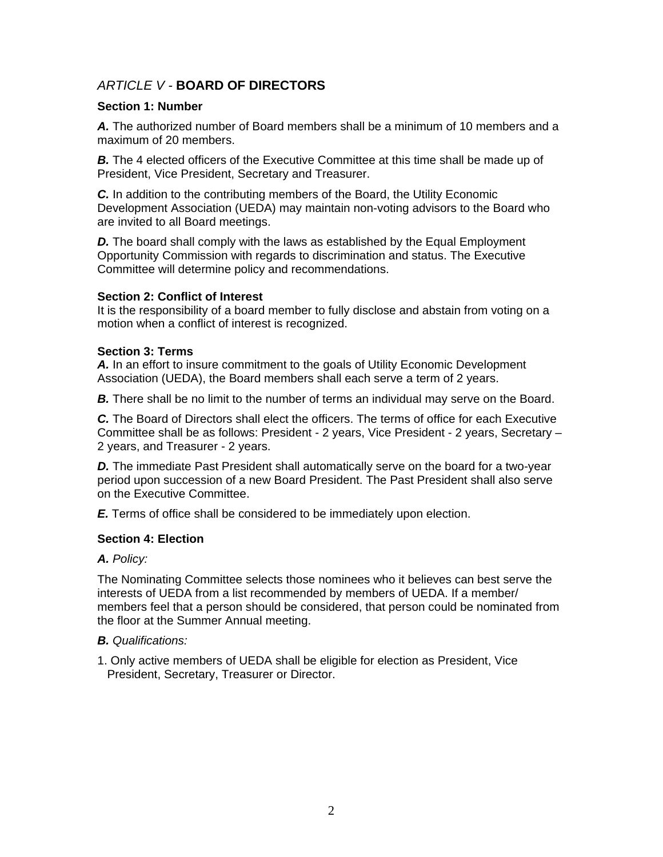## *ARTICLE V -* **BOARD OF DIRECTORS**

#### **Section 1: Number**

*A.* The authorized number of Board members shall be a minimum of 10 members and a maximum of 20 members.

**B.** The 4 elected officers of the Executive Committee at this time shall be made up of President, Vice President, Secretary and Treasurer.

*C.* In addition to the contributing members of the Board, the Utility Economic Development Association (UEDA) may maintain non-voting advisors to the Board who are invited to all Board meetings.

**D.** The board shall comply with the laws as established by the Equal Employment Opportunity Commission with regards to discrimination and status. The Executive Committee will determine policy and recommendations.

#### **Section 2: Conflict of Interest**

It is the responsibility of a board member to fully disclose and abstain from voting on a motion when a conflict of interest is recognized.

#### **Section 3: Terms**

*A.* In an effort to insure commitment to the goals of Utility Economic Development Association (UEDA), the Board members shall each serve a term of 2 years.

**B.** There shall be no limit to the number of terms an individual may serve on the Board.

*C.* The Board of Directors shall elect the officers. The terms of office for each Executive Committee shall be as follows: President - 2 years, Vice President - 2 years, Secretary – 2 years, and Treasurer - 2 years.

**D.** The immediate Past President shall automatically serve on the board for a two-year period upon succession of a new Board President. The Past President shall also serve on the Executive Committee.

*E.* Terms of office shall be considered to be immediately upon election.

## **Section 4: Election**

## *A. Policy:*

The Nominating Committee selects those nominees who it believes can best serve the interests of UEDA from a list recommended by members of UEDA. If a member/ members feel that a person should be considered, that person could be nominated from the floor at the Summer Annual meeting.

## *B. Qualifications:*

1. Only active members of UEDA shall be eligible for election as President, Vice President, Secretary, Treasurer or Director.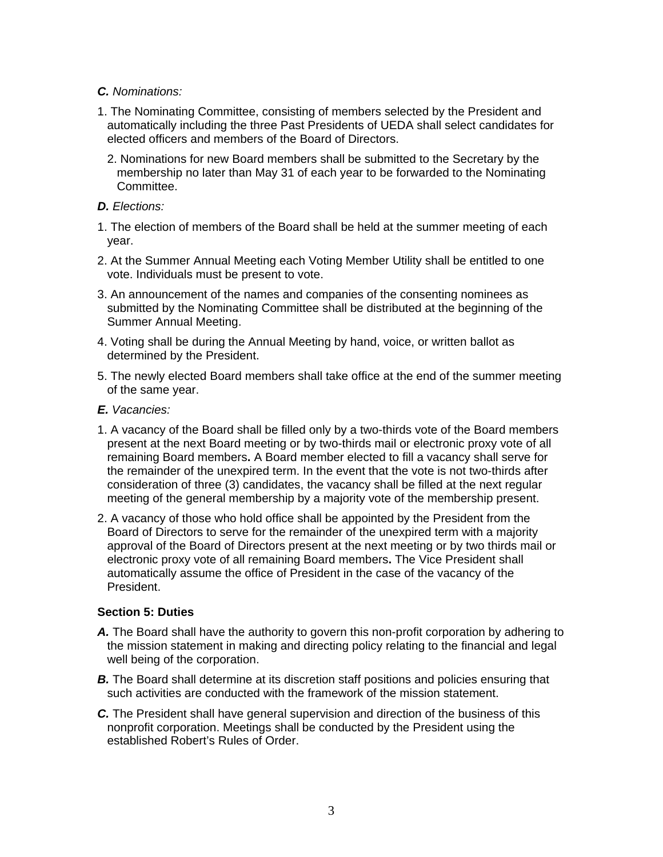## *C. Nominations:*

- 1. The Nominating Committee, consisting of members selected by the President and automatically including the three Past Presidents of UEDA shall select candidates for elected officers and members of the Board of Directors.
	- 2. Nominations for new Board members shall be submitted to the Secretary by the membership no later than May 31 of each year to be forwarded to the Nominating Committee.

## *D. Elections:*

- 1. The election of members of the Board shall be held at the summer meeting of each year.
- 2. At the Summer Annual Meeting each Voting Member Utility shall be entitled to one vote. Individuals must be present to vote.
- 3. An announcement of the names and companies of the consenting nominees as submitted by the Nominating Committee shall be distributed at the beginning of the Summer Annual Meeting.
- 4. Voting shall be during the Annual Meeting by hand, voice, or written ballot as determined by the President.
- 5. The newly elected Board members shall take office at the end of the summer meeting of the same year.
- *E. Vacancies:*
- 1. A vacancy of the Board shall be filled only by a two-thirds vote of the Board members present at the next Board meeting or by two-thirds mail or electronic proxy vote of all remaining Board members**.** A Board member elected to fill a vacancy shall serve for the remainder of the unexpired term. In the event that the vote is not two-thirds after consideration of three (3) candidates, the vacancy shall be filled at the next regular meeting of the general membership by a majority vote of the membership present.
- 2. A vacancy of those who hold office shall be appointed by the President from the Board of Directors to serve for the remainder of the unexpired term with a majority approval of the Board of Directors present at the next meeting or by two thirds mail or electronic proxy vote of all remaining Board members**.** The Vice President shall automatically assume the office of President in the case of the vacancy of the President.

## **Section 5: Duties**

- *A.* The Board shall have the authority to govern this non-profit corporation by adhering to the mission statement in making and directing policy relating to the financial and legal well being of the corporation.
- **B.** The Board shall determine at its discretion staff positions and policies ensuring that such activities are conducted with the framework of the mission statement.
- *C.* The President shall have general supervision and direction of the business of this nonprofit corporation. Meetings shall be conducted by the President using the established Robert's Rules of Order.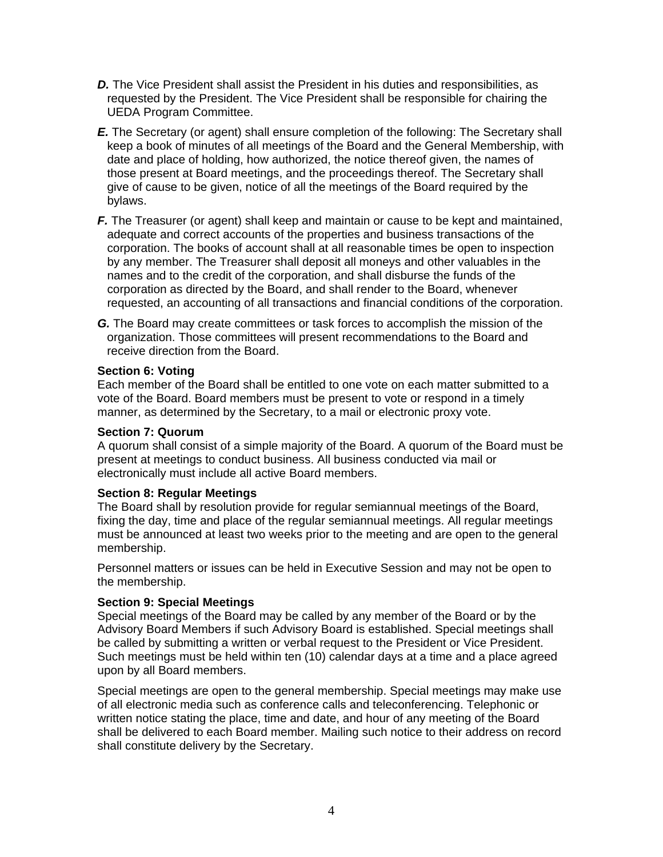- **D.** The Vice President shall assist the President in his duties and responsibilities, as requested by the President. The Vice President shall be responsible for chairing the UEDA Program Committee.
- *E.* The Secretary (or agent) shall ensure completion of the following: The Secretary shall keep a book of minutes of all meetings of the Board and the General Membership, with date and place of holding, how authorized, the notice thereof given, the names of those present at Board meetings, and the proceedings thereof. The Secretary shall give of cause to be given, notice of all the meetings of the Board required by the bylaws.
- *F.* The Treasurer (or agent) shall keep and maintain or cause to be kept and maintained, adequate and correct accounts of the properties and business transactions of the corporation. The books of account shall at all reasonable times be open to inspection by any member. The Treasurer shall deposit all moneys and other valuables in the names and to the credit of the corporation, and shall disburse the funds of the corporation as directed by the Board, and shall render to the Board, whenever requested, an accounting of all transactions and financial conditions of the corporation.
- *G.* The Board may create committees or task forces to accomplish the mission of the organization. Those committees will present recommendations to the Board and receive direction from the Board.

#### **Section 6: Voting**

Each member of the Board shall be entitled to one vote on each matter submitted to a vote of the Board. Board members must be present to vote or respond in a timely manner, as determined by the Secretary, to a mail or electronic proxy vote.

#### **Section 7: Quorum**

A quorum shall consist of a simple majority of the Board. A quorum of the Board must be present at meetings to conduct business. All business conducted via mail or electronically must include all active Board members.

## **Section 8: Regular Meetings**

The Board shall by resolution provide for regular semiannual meetings of the Board, fixing the day, time and place of the regular semiannual meetings. All regular meetings must be announced at least two weeks prior to the meeting and are open to the general membership.

Personnel matters or issues can be held in Executive Session and may not be open to the membership.

#### **Section 9: Special Meetings**

Special meetings of the Board may be called by any member of the Board or by the Advisory Board Members if such Advisory Board is established. Special meetings shall be called by submitting a written or verbal request to the President or Vice President. Such meetings must be held within ten (10) calendar days at a time and a place agreed upon by all Board members.

Special meetings are open to the general membership. Special meetings may make use of all electronic media such as conference calls and teleconferencing. Telephonic or written notice stating the place, time and date, and hour of any meeting of the Board shall be delivered to each Board member. Mailing such notice to their address on record shall constitute delivery by the Secretary.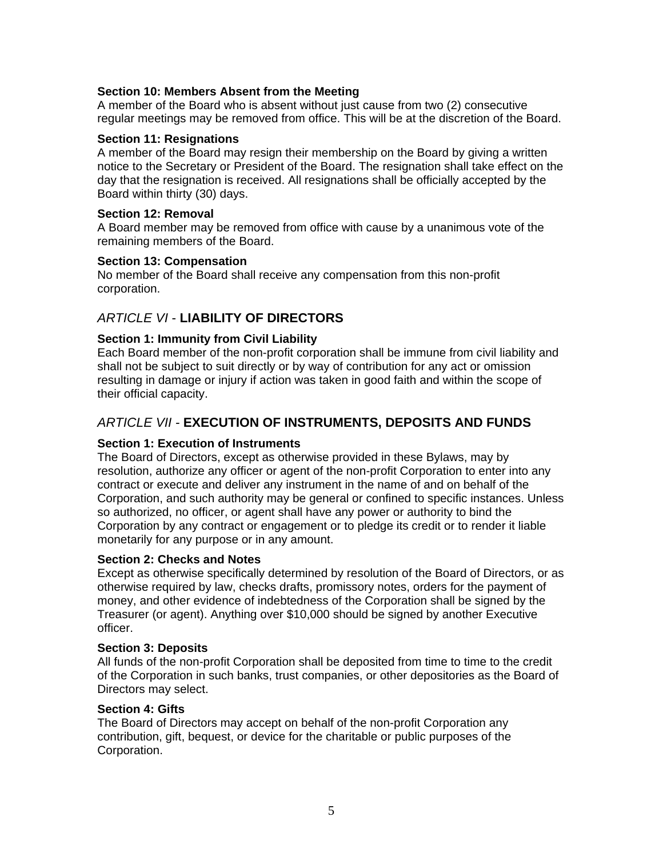## **Section 10: Members Absent from the Meeting**

A member of the Board who is absent without just cause from two (2) consecutive regular meetings may be removed from office. This will be at the discretion of the Board.

#### **Section 11: Resignations**

A member of the Board may resign their membership on the Board by giving a written notice to the Secretary or President of the Board. The resignation shall take effect on the day that the resignation is received. All resignations shall be officially accepted by the Board within thirty (30) days.

#### **Section 12: Removal**

A Board member may be removed from office with cause by a unanimous vote of the remaining members of the Board.

#### **Section 13: Compensation**

No member of the Board shall receive any compensation from this non-profit corporation.

## *ARTICLE VI* - **LIABILITY OF DIRECTORS**

## **Section 1: Immunity from Civil Liability**

Each Board member of the non-profit corporation shall be immune from civil liability and shall not be subject to suit directly or by way of contribution for any act or omission resulting in damage or injury if action was taken in good faith and within the scope of their official capacity.

## *ARTICLE VII -* **EXECUTION OF INSTRUMENTS, DEPOSITS AND FUNDS**

## **Section 1: Execution of Instruments**

The Board of Directors, except as otherwise provided in these Bylaws, may by resolution, authorize any officer or agent of the non-profit Corporation to enter into any contract or execute and deliver any instrument in the name of and on behalf of the Corporation, and such authority may be general or confined to specific instances. Unless so authorized, no officer, or agent shall have any power or authority to bind the Corporation by any contract or engagement or to pledge its credit or to render it liable monetarily for any purpose or in any amount.

## **Section 2: Checks and Notes**

Except as otherwise specifically determined by resolution of the Board of Directors, or as otherwise required by law, checks drafts, promissory notes, orders for the payment of money, and other evidence of indebtedness of the Corporation shall be signed by the Treasurer (or agent). Anything over \$10,000 should be signed by another Executive officer.

#### **Section 3: Deposits**

All funds of the non-profit Corporation shall be deposited from time to time to the credit of the Corporation in such banks, trust companies, or other depositories as the Board of Directors may select.

## **Section 4: Gifts**

The Board of Directors may accept on behalf of the non-profit Corporation any contribution, gift, bequest, or device for the charitable or public purposes of the Corporation.